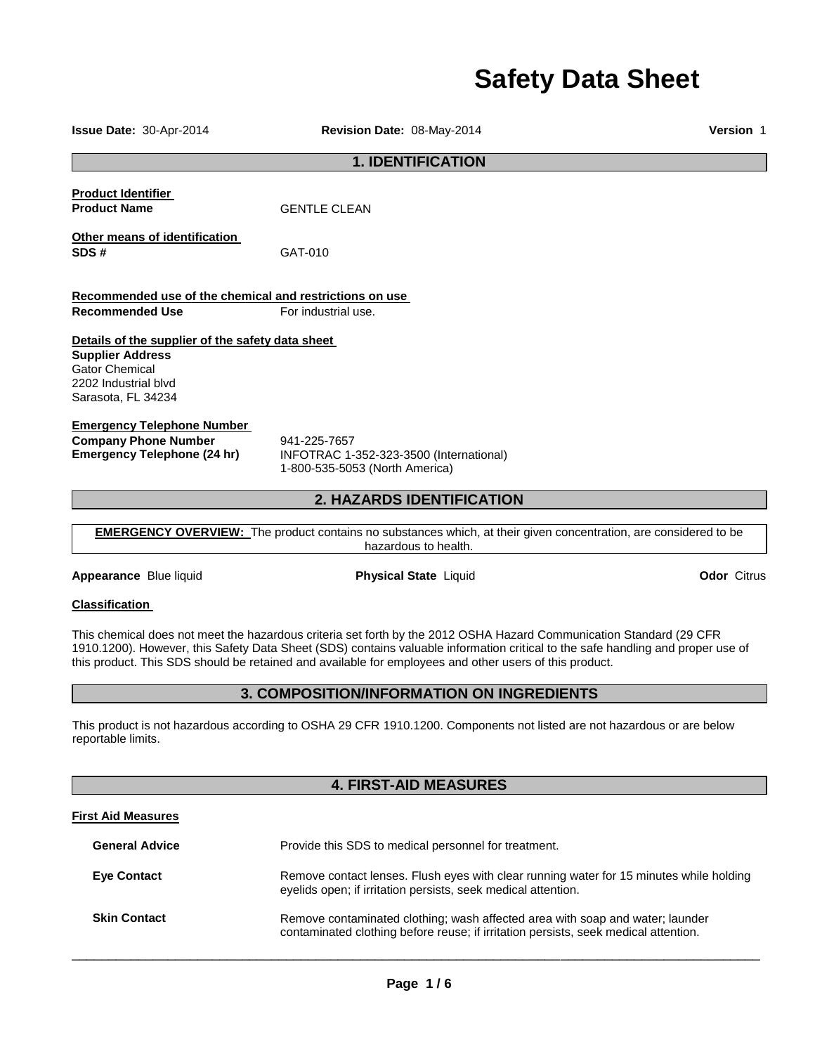# **Safety Data Sheet**

**1. IDENTIFICATION Product Identifier Product Name GENTLE CLEAN Other means of identification SDS #** GAT-010 **Recommended use of the chemical and restrictions on use Recommended Use For industrial use. Details of the supplier of the safety data sheet Supplier Address** Gator Chemical 2202 Industrial blvd Sarasota, FL 34234 **Emergency Telephone Number Company Phone Number** 941-225-7657<br>**Emergency Telephone (24 hr)** INFOTRAC 1-**Emergency Telephone (24 hr)** INFOTRAC 1-352-323-3500 (International) 1-800-535-5053 (North America) **2. HAZARDS IDENTIFICATION EMERGENCY OVERVIEW:** The product contains no substances which, at their given concentration, are considered to be hazardous to health. **Appearance** Blue liquid **Physical State** Liquid **Odor** Citrus **Classification**  This chemical does not meet the hazardous criteria set forth by the 2012 OSHA Hazard Communication Standard (29 CFR 1910.1200). However, this Safety Data Sheet (SDS) contains valuable information critical to the safe handling and proper use of this product. This SDS should be retained and available for employees and other users of this product. **3. COMPOSITION/INFORMATION ON INGREDIENTS** 

**Issue Date:** 30-Apr-2014 **Revision Date:** 08-May-2014 **Version** 1

This product is not hazardous according to OSHA 29 CFR 1910.1200. Components not listed are not hazardous or are below reportable limits.

# **4. FIRST-AID MEASURES**

# **First Aid Measures**

| <b>General Advice</b> | Provide this SDS to medical personnel for treatment.                                                                                                                 |
|-----------------------|----------------------------------------------------------------------------------------------------------------------------------------------------------------------|
| <b>Eye Contact</b>    | Remove contact lenses. Flush eyes with clear running water for 15 minutes while holding<br>eyelids open; if irritation persists, seek medical attention.             |
| <b>Skin Contact</b>   | Remove contaminated clothing; wash affected area with soap and water; launder<br>contaminated clothing before reuse; if irritation persists, seek medical attention. |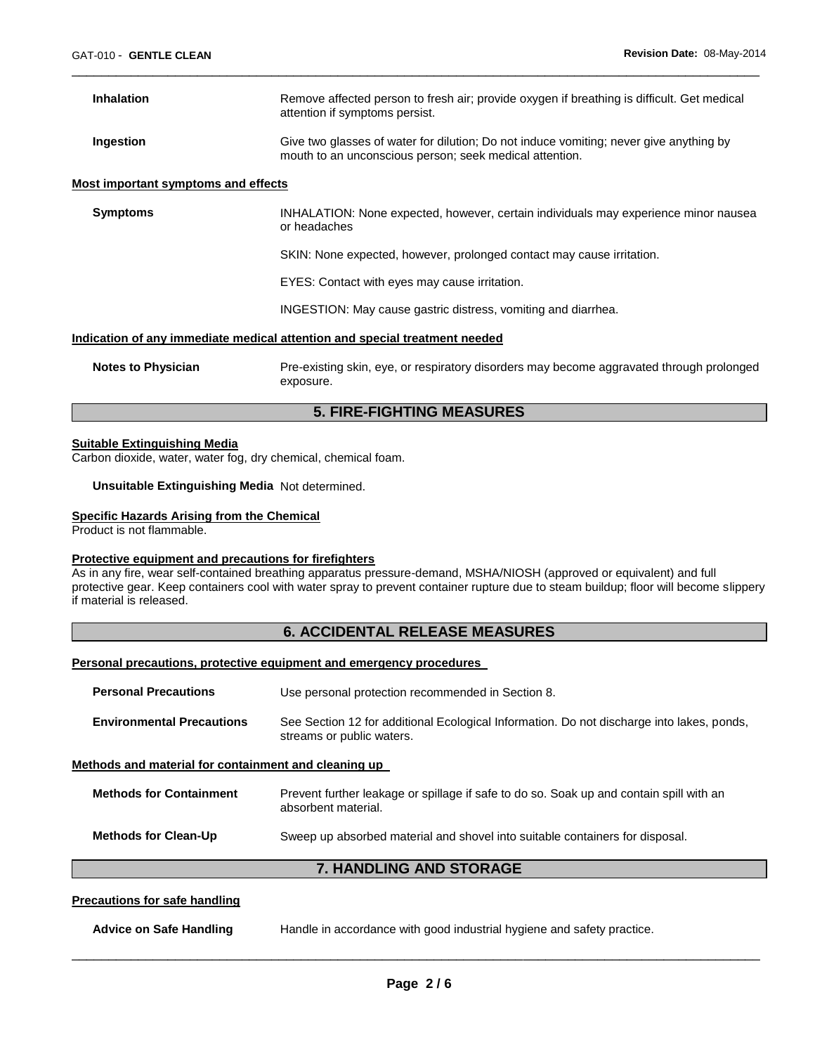| <b>Inhalation</b>                                                          | Remove affected person to fresh air; provide oxygen if breathing is difficult. Get medical<br>attention if symptoms persist.                      |
|----------------------------------------------------------------------------|---------------------------------------------------------------------------------------------------------------------------------------------------|
| Ingestion                                                                  | Give two glasses of water for dilution; Do not induce vomiting; never give anything by<br>mouth to an unconscious person; seek medical attention. |
| Most important symptoms and effects                                        |                                                                                                                                                   |
| <b>Symptoms</b>                                                            | INHALATION: None expected, however, certain individuals may experience minor nausea<br>or headaches                                               |
|                                                                            | SKIN: None expected, however, prolonged contact may cause irritation.                                                                             |
|                                                                            | EYES: Contact with eyes may cause irritation.                                                                                                     |
|                                                                            | INGESTION: May cause gastric distress, vomiting and diarrhea.                                                                                     |
| Indication of any immediate medical attention and special treatment needed |                                                                                                                                                   |
| <b>Notes to Physician</b>                                                  | Pre-existing skin, eye, or respiratory disorders may become aggravated through prolonged<br>exposure.                                             |

\_\_\_\_\_\_\_\_\_\_\_\_\_\_\_\_\_\_\_\_\_\_\_\_\_\_\_\_\_\_\_\_\_\_\_\_\_\_\_\_\_\_\_\_\_\_\_\_\_\_\_\_\_\_\_\_\_\_\_\_\_\_\_\_\_\_\_\_\_\_\_\_\_\_\_\_\_\_\_\_\_\_\_\_\_\_\_\_\_\_\_\_\_

# **5. FIRE-FIGHTING MEASURES**

# **Suitable Extinguishing Media**

Carbon dioxide, water, water fog, dry chemical, chemical foam.

**Unsuitable Extinguishing Media** Not determined.

#### **Specific Hazards Arising from the Chemical**

Product is not flammable.

### **Protective equipment and precautions for firefighters**

As in any fire, wear self-contained breathing apparatus pressure-demand, MSHA/NIOSH (approved or equivalent) and full protective gear. Keep containers cool with water spray to prevent container rupture due to steam buildup; floor will become slippery if material is released.

# **6. ACCIDENTAL RELEASE MEASURES**

# **Personal precautions, protective equipment and emergency procedures**

| <b>Personal Precautions</b>                          | Use personal protection recommended in Section 8.                                                                      |
|------------------------------------------------------|------------------------------------------------------------------------------------------------------------------------|
| <b>Environmental Precautions</b>                     | See Section 12 for additional Ecological Information. Do not discharge into lakes, ponds,<br>streams or public waters. |
| Methods and material for containment and cleaning up |                                                                                                                        |
| <b>Methods for Containment</b>                       | Prevent further leakage or spillage if safe to do so. Soak up and contain spill with an<br>absorbent material.         |
| <b>Methods for Clean-Up</b>                          | Sweep up absorbed material and shovel into suitable containers for disposal.                                           |
| <b>7. HANDLING AND STORAGE</b>                       |                                                                                                                        |
| Procautione for eafo handling                        |                                                                                                                        |

# **Precautions for safe handling**

| Advice on Safe Handling | Handle in accordance with good industrial hygiene and safety practice. |  |
|-------------------------|------------------------------------------------------------------------|--|
|                         |                                                                        |  |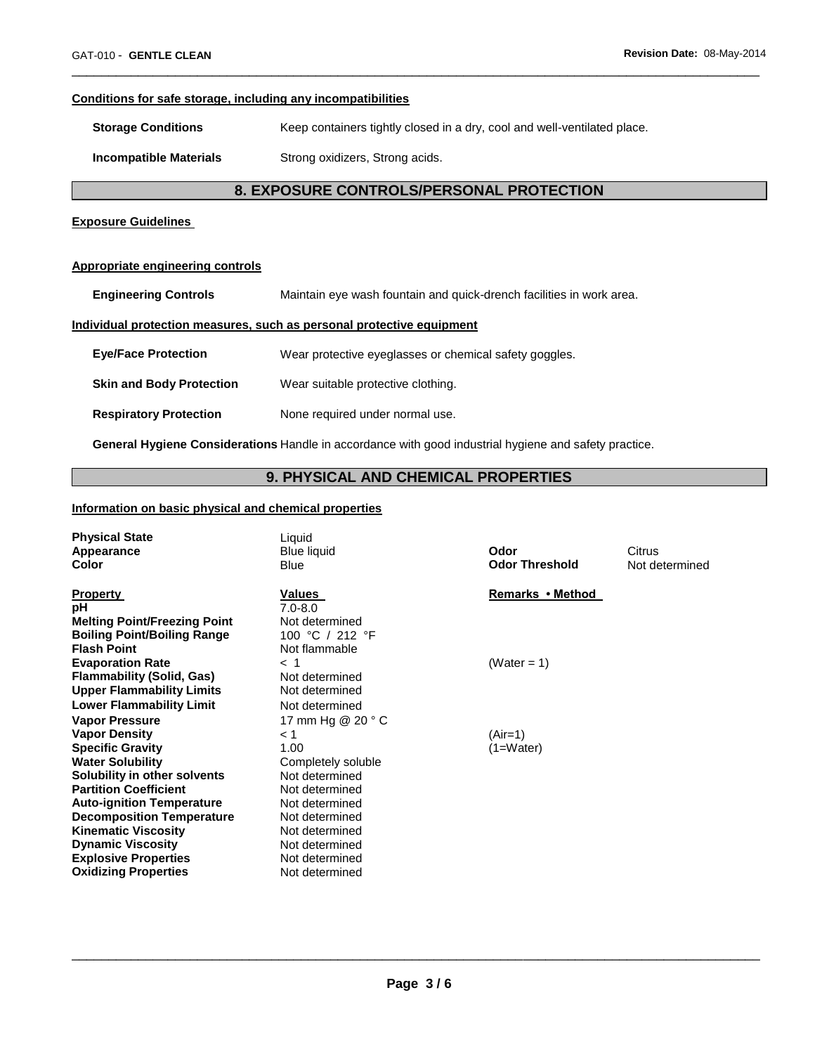# **Conditions for safe storage, including any incompatibilities**

**Storage Conditions Keep containers tightly closed in a dry, cool and well-ventilated place.** 

**Incompatible Materials Strong oxidizers, Strong acids.** 

# **8. EXPOSURE CONTROLS/PERSONAL PROTECTION**

\_\_\_\_\_\_\_\_\_\_\_\_\_\_\_\_\_\_\_\_\_\_\_\_\_\_\_\_\_\_\_\_\_\_\_\_\_\_\_\_\_\_\_\_\_\_\_\_\_\_\_\_\_\_\_\_\_\_\_\_\_\_\_\_\_\_\_\_\_\_\_\_\_\_\_\_\_\_\_\_\_\_\_\_\_\_\_\_\_\_\_\_\_

# **Exposure Guidelines**

#### **Appropriate engineering controls**

**Engineering Controls** Maintain eye wash fountain and quick-drench facilities in work area.

# **Individual protection measures, such as personal protective equipment**

| <b>Eye/Face Protection</b>      | Wear protective eyeglasses or chemical safety goggles. |
|---------------------------------|--------------------------------------------------------|
| <b>Skin and Body Protection</b> | Wear suitable protective clothing.                     |
| <b>Respiratory Protection</b>   | None required under normal use.                        |

**General Hygiene Considerations** Handle in accordance with good industrial hygiene and safety practice.

# **9. PHYSICAL AND CHEMICAL PROPERTIES**

# **Information on basic physical and chemical properties**

| <b>Physical State</b><br>Appearance<br>Color                                                                                                                                                            | Liquid<br><b>Blue liquid</b><br><b>Blue</b>                                                                  | Odor<br><b>Odor Threshold</b> | Citrus<br>Not determined |
|---------------------------------------------------------------------------------------------------------------------------------------------------------------------------------------------------------|--------------------------------------------------------------------------------------------------------------|-------------------------------|--------------------------|
| <b>Property</b><br>pH<br><b>Melting Point/Freezing Point</b><br><b>Boiling Point/Boiling Range</b><br><b>Flash Point</b>                                                                                | Values<br>$7.0 - 8.0$<br>Not determined<br>100 °C / 212 °F<br>Not flammable                                  | Remarks • Method              |                          |
| <b>Evaporation Rate</b><br><b>Flammability (Solid, Gas)</b><br><b>Upper Flammability Limits</b><br><b>Lower Flammability Limit</b>                                                                      | $<$ 1<br>Not determined<br>Not determined<br>Not determined                                                  | (Water = 1)                   |                          |
| <b>Vapor Pressure</b><br><b>Vapor Density</b><br><b>Specific Gravity</b><br><b>Water Solubility</b><br>Solubility in other solvents<br><b>Partition Coefficient</b><br><b>Auto-ignition Temperature</b> | 17 mm Hg @ 20 ° C<br>< 1<br>1.00<br>Completely soluble<br>Not determined<br>Not determined<br>Not determined | $(Air=1)$<br>$(1=Water)$      |                          |
| <b>Decomposition Temperature</b><br><b>Kinematic Viscosity</b><br><b>Dynamic Viscosity</b><br><b>Explosive Properties</b><br><b>Oxidizing Properties</b>                                                | Not determined<br>Not determined<br>Not determined<br>Not determined<br>Not determined                       |                               |                          |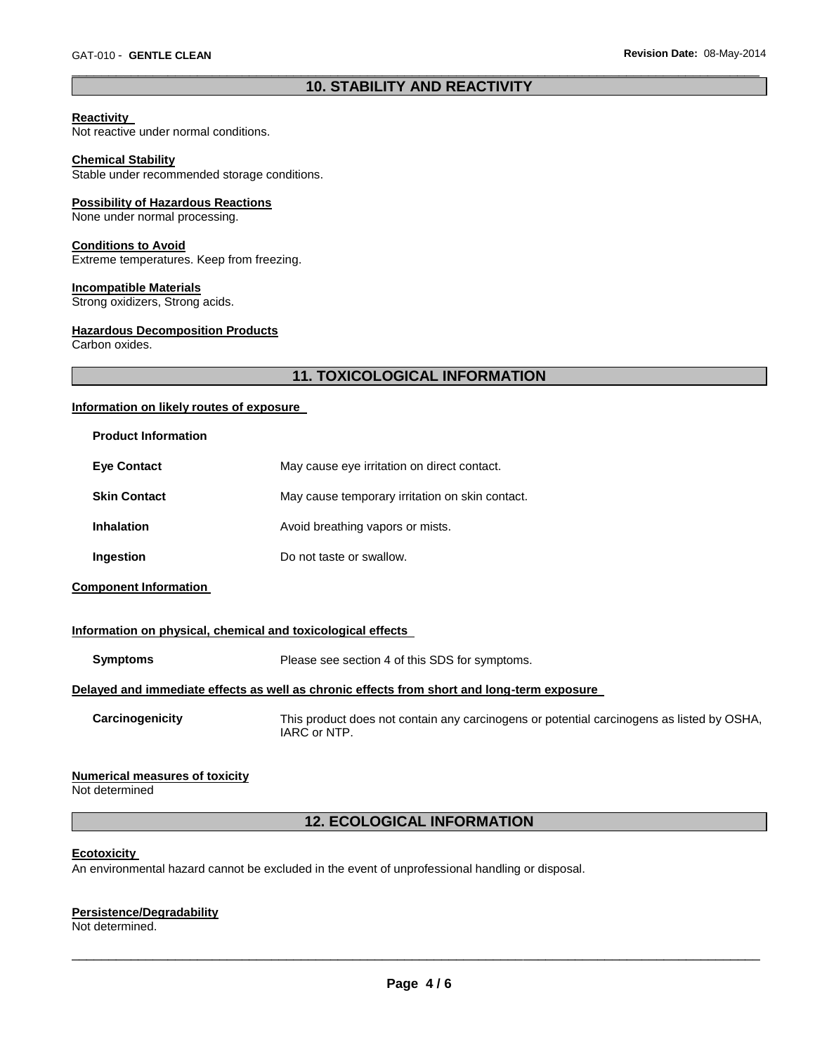# \_\_\_\_\_\_\_\_\_\_\_\_\_\_\_\_\_\_\_\_\_\_\_\_\_\_\_\_\_\_\_\_\_\_\_\_\_\_\_\_\_\_\_\_\_\_\_\_\_\_\_\_\_\_\_\_\_\_\_\_\_\_\_\_\_\_\_\_\_\_\_\_\_\_\_\_\_\_\_\_\_\_\_\_\_\_\_\_\_\_\_\_\_ **10. STABILITY AND REACTIVITY**

# **Reactivity**

Not reactive under normal conditions.

#### **Chemical Stability**

Stable under recommended storage conditions.

#### **Possibility of Hazardous Reactions**

None under normal processing.

#### **Conditions to Avoid**

Extreme temperatures. Keep from freezing.

#### **Incompatible Materials**

Strong oxidizers, Strong acids.

# **Hazardous Decomposition Products**

Carbon oxides.

# **11. TOXICOLOGICAL INFORMATION**

#### **Information on likely routes of exposure**

| <b>Product Information</b> |                                                 |
|----------------------------|-------------------------------------------------|
| <b>Eve Contact</b>         | May cause eye irritation on direct contact.     |
| <b>Skin Contact</b>        | May cause temporary irritation on skin contact. |
| <b>Inhalation</b>          | Avoid breathing vapors or mists.                |
| Ingestion                  | Do not taste or swallow.                        |

**Component Information** 

# **Information on physical, chemical and toxicological effects**

| Symptoms | Please see section 4 of this SDS for symptoms.                                             |
|----------|--------------------------------------------------------------------------------------------|
|          | Delayed and immediate effects as well as chronic effects from short and long-term exposure |

**Carcinogenicity** This product does not contain any carcinogens or potential carcinogens as listed by OSHA, IARC or NTP.

### **Numerical measures of toxicity**

Not determined

# **12. ECOLOGICAL INFORMATION**

#### **Ecotoxicity**

An environmental hazard cannot be excluded in the event of unprofessional handling or disposal.

# **Persistence/Degradability**

Not determined.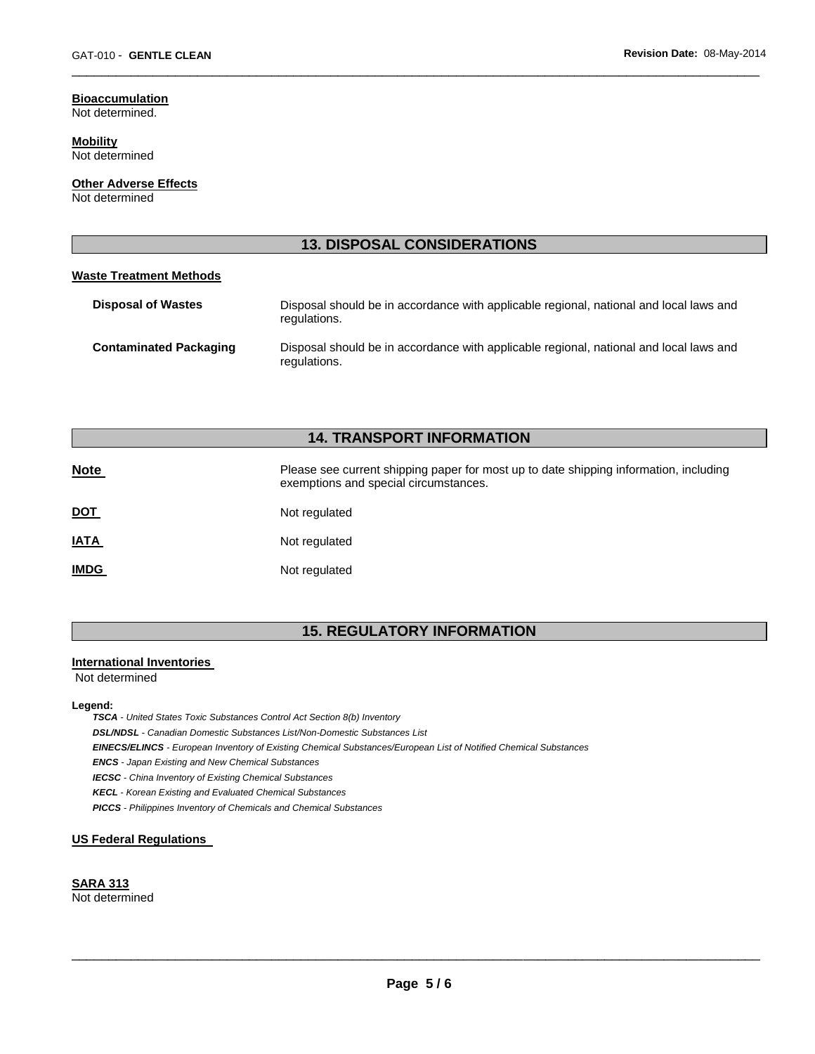#### **Bioaccumulation** Not determined.

**Mobility**

Not determined

**Other Adverse Effects** Not determined

# **13. DISPOSAL CONSIDERATIONS**

\_\_\_\_\_\_\_\_\_\_\_\_\_\_\_\_\_\_\_\_\_\_\_\_\_\_\_\_\_\_\_\_\_\_\_\_\_\_\_\_\_\_\_\_\_\_\_\_\_\_\_\_\_\_\_\_\_\_\_\_\_\_\_\_\_\_\_\_\_\_\_\_\_\_\_\_\_\_\_\_\_\_\_\_\_\_\_\_\_\_\_\_\_

# **Waste Treatment Methods**

| <b>Disposal of Wastes</b>     | Disposal should be in accordance with applicable regional, national and local laws and<br>regulations. |
|-------------------------------|--------------------------------------------------------------------------------------------------------|
| <b>Contaminated Packaging</b> | Disposal should be in accordance with applicable regional, national and local laws and<br>regulations. |

# **14. TRANSPORT INFORMATION**

| <b>Note</b> | Please see current shipping paper for most up to date shipping information, including<br>exemptions and special circumstances. |
|-------------|--------------------------------------------------------------------------------------------------------------------------------|
| <u>DOT</u>  | Not regulated                                                                                                                  |
| <u>IATA</u> | Not regulated                                                                                                                  |
| <u>IMDG</u> | Not regulated                                                                                                                  |

# **15. REGULATORY INFORMATION**

# **International Inventories**

Not determined

#### **Legend:**

*TSCA - United States Toxic Substances Control Act Section 8(b) Inventory* 

*DSL/NDSL - Canadian Domestic Substances List/Non-Domestic Substances List* 

*EINECS/ELINCS - European Inventory of Existing Chemical Substances/European List of Notified Chemical Substances* 

*ENCS - Japan Existing and New Chemical Substances* 

*IECSC - China Inventory of Existing Chemical Substances* 

*KECL - Korean Existing and Evaluated Chemical Substances* 

*PICCS - Philippines Inventory of Chemicals and Chemical Substances* 

### **US Federal Regulations**

#### **SARA 313** Not determined